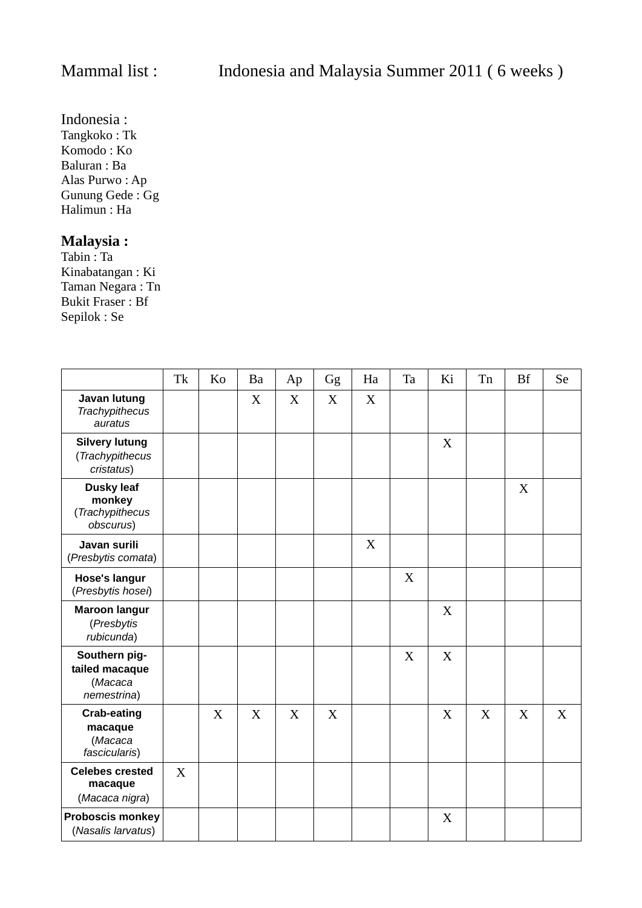Indonesia : Tangkoko : Tk Komodo : Ko Baluran : Ba Alas Purwo : Ap Gunung Gede : Gg Halimun : Ha

## **Malaysia :**

Tabin : Ta Kinabatangan : Ki Taman Negara : Tn Bukit Fraser : Bf Sepilok : Se

|                                                             | Tk | Ko | Ba | Ap | Gg | Ha | Ta | Ki | Tn | <b>Bf</b> | Se |
|-------------------------------------------------------------|----|----|----|----|----|----|----|----|----|-----------|----|
| Javan lutung<br><b>Trachypithecus</b><br>auratus            |    |    | X  | X  | X  | X  |    |    |    |           |    |
| <b>Silvery lutung</b><br>(Trachypithecus<br>cristatus)      |    |    |    |    |    |    |    | X  |    |           |    |
| <b>Dusky leaf</b><br>monkey<br>(Trachypithecus<br>obscurus) |    |    |    |    |    |    |    |    |    | X         |    |
| Javan surili<br>(Presbytis comata)                          |    |    |    |    |    | X  |    |    |    |           |    |
| <b>Hose's langur</b><br>(Presbytis hosei)                   |    |    |    |    |    |    | X  |    |    |           |    |
| <b>Maroon langur</b><br>(Presbytis<br>rubicunda)            |    |    |    |    |    |    |    | X  |    |           |    |
| Southern pig-<br>tailed macaque<br>(Macaca<br>nemestrina)   |    |    |    |    |    |    | X  | X  |    |           |    |
| <b>Crab-eating</b><br>macaque<br>(Macaca<br>fascicularis)   |    | X  | X  | X  | X  |    |    | X  | X  | X         | X  |
| <b>Celebes crested</b><br>macaque<br>(Macaca nigra)         | X  |    |    |    |    |    |    |    |    |           |    |
| <b>Proboscis monkey</b><br>(Nasalis larvatus)               |    |    |    |    |    |    |    | X  |    |           |    |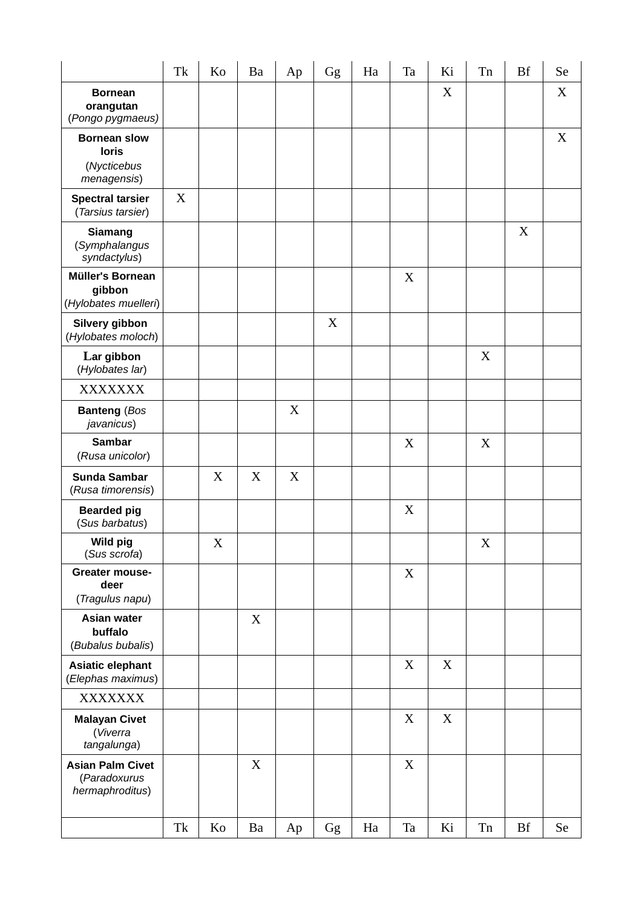|                                                                   | Tk | Ko | Ba | Ap | $\rm{Gg}$ | Ha       | Ta          | Ki          | Tn          | <b>Bf</b> | Se        |
|-------------------------------------------------------------------|----|----|----|----|-----------|----------|-------------|-------------|-------------|-----------|-----------|
| <b>Bornean</b><br>orangutan<br>(Pongo pygmaeus)                   |    |    |    |    |           |          |             | X           |             |           | X         |
| <b>Bornean slow</b><br><b>loris</b><br>(Nycticebus<br>menagensis) |    |    |    |    |           |          |             |             |             |           | X         |
| <b>Spectral tarsier</b><br>(Tarsius tarsier)                      | X  |    |    |    |           |          |             |             |             |           |           |
| Siamang<br>(Symphalangus<br>syndactylus)                          |    |    |    |    |           |          |             |             |             | X         |           |
| <b>Müller's Bornean</b><br>gibbon<br>(Hylobates muelleri)         |    |    |    |    |           |          | X           |             |             |           |           |
| Silvery gibbon<br>(Hylobates moloch)                              |    |    |    |    | X         |          |             |             |             |           |           |
| Lar gibbon<br>(Hylobates lar)                                     |    |    |    |    |           |          |             |             | $\mathbf X$ |           |           |
| <b>XXXXXXX</b>                                                    |    |    |    |    |           |          |             |             |             |           |           |
| <b>Banteng (Bos</b><br>javanicus)                                 |    |    |    | X  |           |          |             |             |             |           |           |
| <b>Sambar</b><br>(Rusa unicolor)                                  |    |    |    |    |           |          | $\mathbf X$ |             | $\mathbf X$ |           |           |
| <b>Sunda Sambar</b><br>(Rusa timorensis)                          |    | X  | X  | X  |           |          |             |             |             |           |           |
| <b>Bearded pig</b><br>(Sus barbatus)                              |    |    |    |    |           |          | X           |             |             |           |           |
| Wild pig<br>(Sus scrofa)                                          |    | X  |    |    |           |          |             |             | X           |           |           |
| Greater mouse-<br>deer<br>(Tragulus napu)                         |    |    |    |    |           |          | X           |             |             |           |           |
| <b>Asian water</b><br>buffalo<br>(Bubalus bubalis)                |    |    | X  |    |           |          |             |             |             |           |           |
| <b>Asiatic elephant</b><br>(Elephas maximus)                      |    |    |    |    |           |          | X           | $\mathbf X$ |             |           |           |
| <b>XXXXXXX</b>                                                    |    |    |    |    |           |          |             |             |             |           |           |
| <b>Malayan Civet</b><br>(Viverra<br>tangalunga)                   |    |    |    |    |           |          | X           | $\mathbf X$ |             |           |           |
| <b>Asian Palm Civet</b><br>(Paradoxurus<br>hermaphroditus)        |    |    | X  |    |           |          | X           |             |             |           |           |
|                                                                   | Tk | Ko | Ba | Ap | Gg        | $\rm Ha$ | Ta          | Ki          | ${\rm Tn}$  | <b>Bf</b> | <b>Se</b> |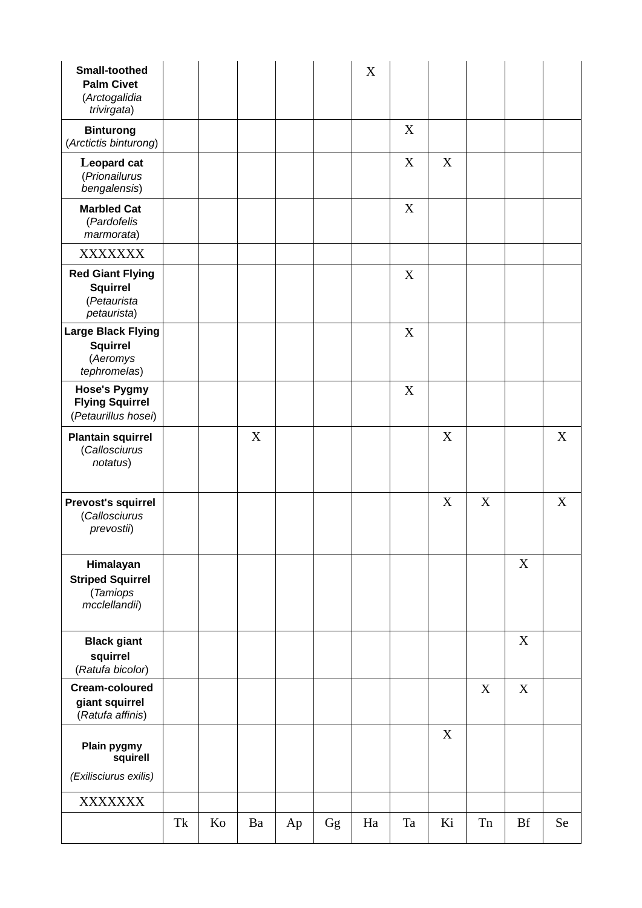| <b>Small-toothed</b><br><b>Palm Civet</b><br>(Arctogalidia<br>trivirgata)<br><b>Binturong</b> |    |    |    |    |    | X  | X  |                  |    |           |           |
|-----------------------------------------------------------------------------------------------|----|----|----|----|----|----|----|------------------|----|-----------|-----------|
| (Arctictis binturong)                                                                         |    |    |    |    |    |    |    |                  |    |           |           |
| Leopard cat<br>(Prionailurus<br>bengalensis)                                                  |    |    |    |    |    |    | X  | $\boldsymbol{X}$ |    |           |           |
| <b>Marbled Cat</b><br>(Pardofelis<br>marmorata)                                               |    |    |    |    |    |    | X  |                  |    |           |           |
| <b>XXXXXXX</b>                                                                                |    |    |    |    |    |    |    |                  |    |           |           |
| <b>Red Giant Flying</b><br><b>Squirrel</b><br>(Petaurista<br>petaurista)                      |    |    |    |    |    |    | X  |                  |    |           |           |
| <b>Large Black Flying</b><br><b>Squirrel</b><br>(Aeromys<br>tephromelas)                      |    |    |    |    |    |    | X  |                  |    |           |           |
| <b>Hose's Pygmy</b><br><b>Flying Squirrel</b><br>(Petaurillus hosei)                          |    |    |    |    |    |    | X  |                  |    |           |           |
| <b>Plantain squirrel</b><br>(Callosciurus<br>notatus)                                         |    |    | X  |    |    |    |    | X                |    |           | X         |
| <b>Prevost's squirrel</b><br>(Callosciurus<br>prevostii)                                      |    |    |    |    |    |    |    | X                | X  |           | X         |
| Himalayan<br><b>Striped Squirrel</b><br>(Tamiops<br>mcclellandii)                             |    |    |    |    |    |    |    |                  |    | X         |           |
| <b>Black giant</b><br>squirrel<br>(Ratufa bicolor)                                            |    |    |    |    |    |    |    |                  |    | X         |           |
| Cream-coloured<br>giant squirrel<br>(Ratufa affinis)                                          |    |    |    |    |    |    |    |                  | X  | X         |           |
| Plain pygmy<br>squirell                                                                       |    |    |    |    |    |    |    | $\mathbf X$      |    |           |           |
| (Exilisciurus exilis)                                                                         |    |    |    |    |    |    |    |                  |    |           |           |
| <b>XXXXXXX</b>                                                                                |    |    |    |    |    |    |    |                  |    |           |           |
|                                                                                               | Tk | Ko | Ba | Ap | Gg | Ha | Ta | Ki               | Tn | <b>Bf</b> | <b>Se</b> |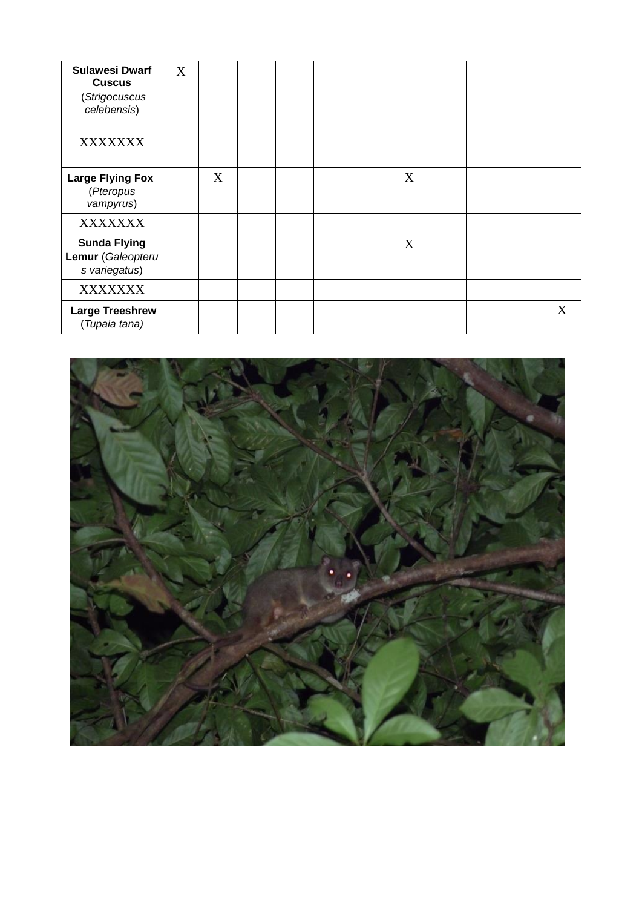| <b>Sulawesi Dwarf</b><br><b>Cuscus</b><br>(Strigocuscus<br>celebensis) | X |   |  |  |   |  |   |
|------------------------------------------------------------------------|---|---|--|--|---|--|---|
| <b>XXXXXXX</b>                                                         |   |   |  |  |   |  |   |
| <b>Large Flying Fox</b><br>(Pteropus<br>vampyrus)                      |   | X |  |  | X |  |   |
| <b>XXXXXXX</b>                                                         |   |   |  |  |   |  |   |
| <b>Sunda Flying</b><br>Lemur (Galeopteru<br>s variegatus)              |   |   |  |  | X |  |   |
| <b>XXXXXXX</b>                                                         |   |   |  |  |   |  |   |
| <b>Large Treeshrew</b><br>(Tupaia tana)                                |   |   |  |  |   |  | X |